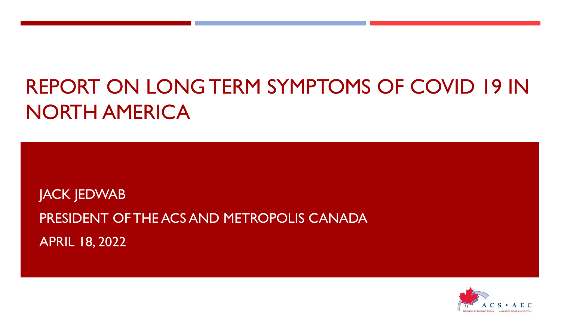## REPORT ON LONG TERM SYMPTOMS OF COVID 19 IN NORTH AMERICA

JACK JEDWAB PRESIDENT OF THE ACS AND METROPOLIS CANADA APRIL 18, 2022

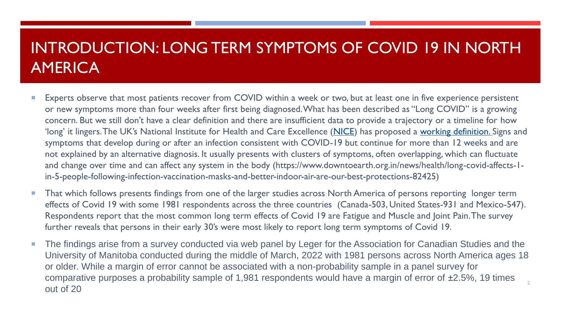## INTRODUCTION: LONG TERM SYMPTOMS OF COVID 19 IN NORTH **AMERICA**

- Experts observe that most patients recover from COVID within a week or two, but at least one in five experience persistent or new symptoms more than four weeks after first being diagnosed. What has been described as "Long COVID" is a growing concern. But we still don't have a clear definition and there are insufficient data to provide a trajectory or a timeline for how 'long' it lingers. The UK's National Institute for Health and Care Excellence ([NICE](https://www.nice.org.uk/)) has proposed a [working definition](https://www.nice.org.uk/guidance/ng188/resources/covid19-rapid-guideline-managing-the-longterm-effects-of-covid19-pdf-51035515742). Signs and symptoms that develop during or after an infection consistent with COVID-19 but continue for more than 12 weeks and are not explained by an alternative diagnosis. It usually presents with clusters of symptoms, often overlapping, which can fluctuate and change over time and can affect any system in the body (https://www.downtoearth.org.in/news/health/long-covid-affects-1 in-5-people-following-infection-vaccination-masks-and-better-indoor-air-are-our-best-protections-82425)
- **That which follows presents findings from one of the larger studies across North America of persons reporting longer term** effects of Covid 19 with some 1981 respondents across the three countries (Canada-503, United States-931 and Mexico-547). Respondents report that the most common long term effects of Covid 19 are Fatigue and Muscle and Joint Pain. The survey further reveals that persons in their early 30's were most likely to report long term symptoms of Covid 19.
- The findings arise from a survey conducted via web panel by Leger for the Association for Canadian Studies and the University of Manitoba conducted during the middle of March, 2022 with 1981 persons across North America ages 18 or older. While a margin of error cannot be associated with a non-probability sample in a panel survey for comparative purposes a probability sample of 1,981 respondents would have a margin of error of ±2.5%, 19 times out of 20 2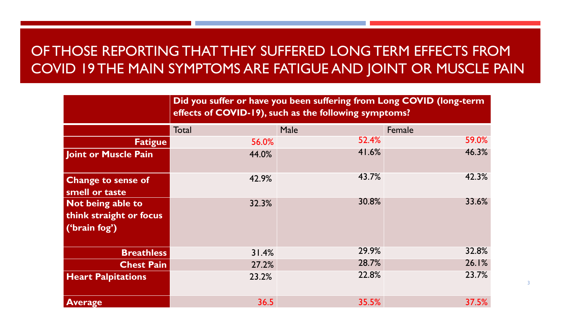## OF THOSE REPORTING THAT THEY SUFFERED LONG TERM EFFECTS FROM COVID 19 THE MAIN SYMPTOMS ARE FATIGUE AND JOINT OR MUSCLE PAIN

|                                                               | Did you suffer or have you been suffering from Long COVID (long-term<br>effects of COVID-19), such as the following symptoms? |             |        |  |  |  |  |
|---------------------------------------------------------------|-------------------------------------------------------------------------------------------------------------------------------|-------------|--------|--|--|--|--|
|                                                               | Total                                                                                                                         | <b>Male</b> | Female |  |  |  |  |
| <b>Fatigue</b>                                                | 56.0%                                                                                                                         | 52.4%       | 59.0%  |  |  |  |  |
| <b>Joint or Muscle Pain</b>                                   | 44.0%                                                                                                                         | 41.6%       | 46.3%  |  |  |  |  |
| <b>Change to sense of</b><br>smell or taste                   | 42.9%                                                                                                                         | 43.7%       | 42.3%  |  |  |  |  |
| Not being able to<br>think straight or focus<br>('brain fog') | 32.3%                                                                                                                         | 30.8%       | 33.6%  |  |  |  |  |
| <b>Breathless</b>                                             | 31.4%                                                                                                                         | 29.9%       | 32.8%  |  |  |  |  |
| <b>Chest Pain</b>                                             | 27.2%                                                                                                                         | 28.7%       | 26.1%  |  |  |  |  |
| <b>Heart Palpitations</b>                                     | 23.2%                                                                                                                         | 22.8%       | 23.7%  |  |  |  |  |
| <b>Average</b>                                                | 36.5                                                                                                                          | 35.5%       | 37.5%  |  |  |  |  |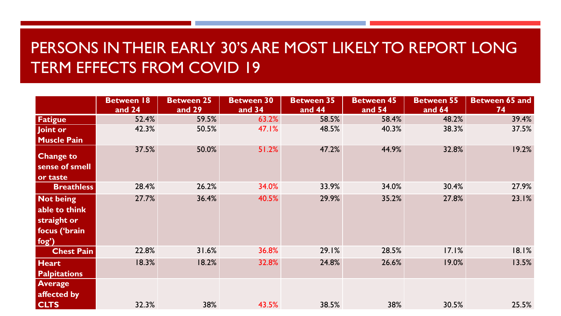## PERSONS IN THEIR EARLY 30'S ARE MOST LIKELY TO REPORT LONG TERM EFFECTS FROM COVID 19

|                                                                            | <b>Between 18</b><br>and 24 | <b>Between 25</b><br>and 29 | <b>Between 30</b><br>and 34 | <b>Between 35</b><br>and 44 | <b>Between 45</b><br>and 54 | <b>Between 55</b><br>and 64 | Between 65 and<br>74 |
|----------------------------------------------------------------------------|-----------------------------|-----------------------------|-----------------------------|-----------------------------|-----------------------------|-----------------------------|----------------------|
| Fatigue                                                                    | 52.4%                       | 59.5%                       | 63.2%                       | 58.5%                       | 58.4%                       | 48.2%                       | 39.4%                |
| Joint or<br><b>Muscle Pain</b>                                             | 42.3%                       | 50.5%                       | 47.1%                       | 48.5%                       | 40.3%                       | 38.3%                       | 37.5%                |
| <b>Change to</b><br>sense of smell<br>or taste                             | 37.5%                       | 50.0%                       | 51.2%                       | 47.2%                       | 44.9%                       | 32.8%                       | 19.2%                |
| <b>Breathless</b>                                                          | 28.4%                       | 26.2%                       | 34.0%                       | 33.9%                       | 34.0%                       | 30.4%                       | 27.9%                |
| <b>Not being</b><br>able to think<br>straight or<br>focus ('brain<br>fog') | 27.7%                       | 36.4%                       | 40.5%                       | 29.9%                       | 35.2%                       | 27.8%                       | 23.1%                |
| <b>Chest Pain</b>                                                          | 22.8%                       | 31.6%                       | 36.8%                       | 29.1%                       | 28.5%                       | 17.1%                       | 18.1%                |
| <b>Heart</b><br><b>Palpitations</b>                                        | 18.3%                       | 18.2%                       | 32.8%                       | 24.8%                       | 26.6%                       | 19.0%                       | 13.5%                |
| <b>Average</b><br>affected by<br><b>CLTS</b>                               | 32.3%                       | 38%                         | 43.5%                       | 38.5%                       | 38%                         | 30.5%                       | 25.5%                |